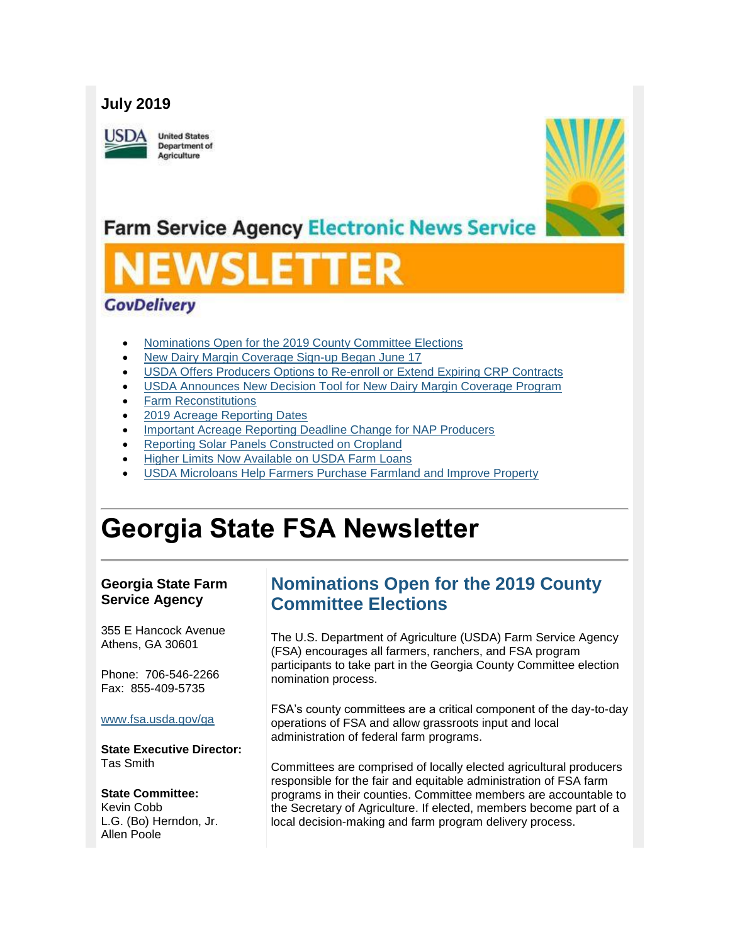#### **July 2019**

JSD/

**United States** Department of Agriculture



# **Farm Service Agency Electronic News Service**

# SLEI

#### **GovDelivery**

- [Nominations Open for the 2019 County Committee Elections](#page-0-0)
- [New Dairy Margin Coverage Sign-up Began June 17](#page-1-0)
- [USDA Offers Producers Options to Re-enroll or Extend Expiring CRP Contracts](#page-2-0)
- [USDA Announces New Decision Tool for New Dairy Margin Coverage Program](#page-3-0)
- [Farm Reconstitutions](#page-3-1)
- [2019 Acreage Reporting Dates](#page-4-0)
- [Important Acreage Reporting Deadline Change for NAP Producers](#page-4-1)
- **[Reporting Solar Panels Constructed on Cropland](#page-5-0)**
- [Higher Limits Now Available on USDA Farm Loans](#page-5-1)
- [USDA Microloans Help Farmers Purchase Farmland and Improve Property](#page-6-0)

# **Georgia State FSA Newsletter**

#### **Georgia State Farm Service Agency**

355 E Hancock Avenue Athens, GA 30601

Phone: 706-546-2266 Fax: 855-409-5735

#### [www.fsa.usda.gov/ga](https://gcc01.safelinks.protection.outlook.com/?url=http%3A%2F%2Fwww.fsa.usda.gov%2Fxx%3Futm_medium%3Demail%26utm_source%3Dgovdelivery&data=01%7C01%7C%7C1d8a7a3f8856436e87fc08d705ffaa7a%7Ced5b36e701ee4ebc867ee03cfa0d4697%7C1&sdata=1omYXQ1c6YbtVotjj7aGtzc4pRDqwyJ1ZFEA%2Fwy9xGY%3D&reserved=0)

**State Executive Director:** Tas Smith

#### **State Committee:**

Kevin Cobb L.G. (Bo) Herndon, Jr. Allen Poole

### <span id="page-0-0"></span>**Nominations Open for the 2019 County Committee Elections**

The U.S. Department of Agriculture (USDA) Farm Service Agency (FSA) encourages all farmers, ranchers, and FSA program participants to take part in the Georgia County Committee election nomination process.

FSA's county committees are a critical component of the day-to-day operations of FSA and allow grassroots input and local administration of federal farm programs.

Committees are comprised of locally elected agricultural producers responsible for the fair and equitable administration of FSA farm programs in their counties. Committee members are accountable to the Secretary of Agriculture. If elected, members become part of a local decision-making and farm program delivery process.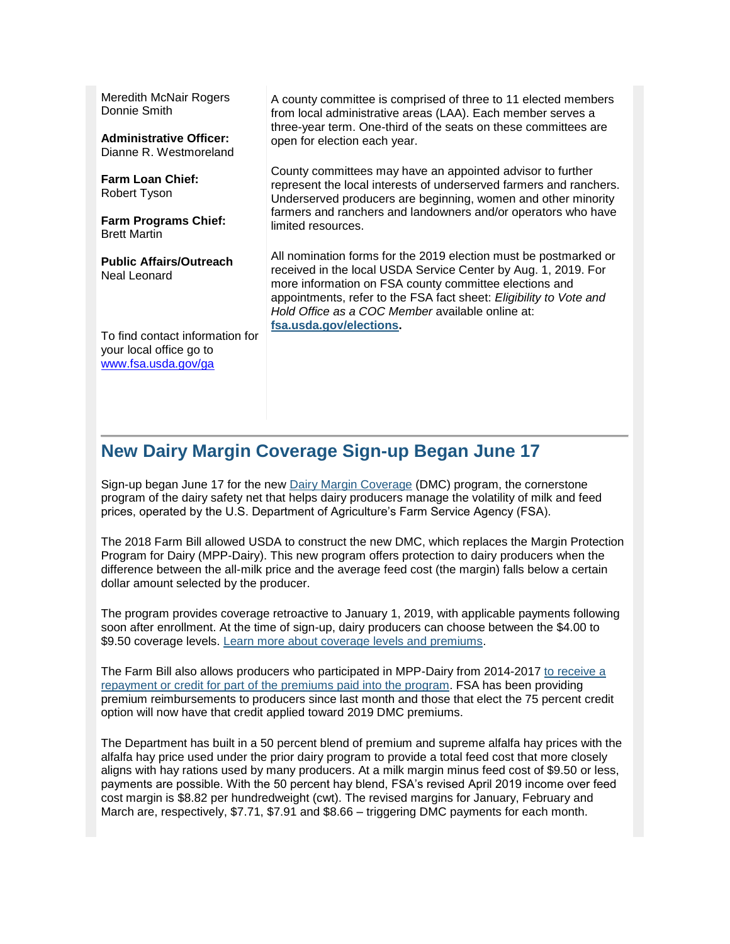Meredith McNair Rogers Donnie Smith

**Administrative Officer:** Dianne R. Westmoreland

**Farm Loan Chief:** Robert Tyson

**Farm Programs Chief:** Brett Martin

**Public Affairs/Outreach** Neal Leonard

A county committee is comprised of three to 11 elected members from local administrative areas (LAA). Each member serves a three-year term. One-third of the seats on these committees are open for election each year.

County committees may have an appointed advisor to further represent the local interests of underserved farmers and ranchers. Underserved producers are beginning, women and other minority farmers and ranchers and landowners and/or operators who have limited resources.

All nomination forms for the 2019 election must be postmarked or received in the local USDA Service Center by Aug. 1, 2019. For more information on FSA county committee elections and appointments, refer to the FSA fact sheet: *Eligibility to Vote and Hold Office as a COC Member* available online at: **[fsa.usda.gov/elections.](https://gcc01.safelinks.protection.outlook.com/?url=http%3A%2F%2Fwww.fsa.usda.gov%2Felections%3Futm_medium%3Demail%26utm_source%3Dgovdelivery&data=01%7C01%7C%7C1d8a7a3f8856436e87fc08d705ffaa7a%7Ced5b36e701ee4ebc867ee03cfa0d4697%7C1&sdata=u8XiSCIviSR46%2FGwS8sLGD0sP8PijkN6rKJ2WIrWSIw%3D&reserved=0)** 

To find contact information for your local office go to [www.fsa.usda.gov/ga](http://www.fsa.usda.gov/ga)

#### <span id="page-1-0"></span>**New Dairy Margin Coverage Sign-up Began June 17**

Sign-up began June 17 for the new [Dairy Margin Coverage](https://gcc01.safelinks.protection.outlook.com/?url=https%3A%2F%2Fwww.fsa.usda.gov%2Fprograms-and-services%2Fdairy-margin-coverage-program%2Findex%3Futm_medium%3Demail%26utm_source%3Dgovdelivery&data=01%7C01%7C%7C1d8a7a3f8856436e87fc08d705ffaa7a%7Ced5b36e701ee4ebc867ee03cfa0d4697%7C1&sdata=2EjHha0bRvBBCxyIVfbAEamFiKewpKDrNm11oKQRekg%3D&reserved=0) (DMC) program, the cornerstone program of the dairy safety net that helps dairy producers manage the volatility of milk and feed prices, operated by the U.S. Department of Agriculture's Farm Service Agency (FSA).

The 2018 Farm Bill allowed USDA to construct the new DMC, which replaces the Margin Protection Program for Dairy (MPP-Dairy). This new program offers protection to dairy producers when the difference between the all-milk price and the average feed cost (the margin) falls below a certain dollar amount selected by the producer.

The program provides coverage retroactive to January 1, 2019, with applicable payments following soon after enrollment. At the time of sign-up, dairy producers can choose between the \$4.00 to \$9.50 coverage levels. [Learn more about coverage levels and premiums.](https://gcc01.safelinks.protection.outlook.com/?url=https%3A%2F%2Fwww.fsa.usda.gov%2FAssets%2FUSDA-FSA-Public%2Fusdafiles%2FFactSheets%2F2019%2Fdairy_margin_coverage_program-june_2019_fact_sheet.pdf%3Futm_medium%3Demail%26utm_source%3Dgovdelivery&data=01%7C01%7C%7C1d8a7a3f8856436e87fc08d705ffaa7a%7Ced5b36e701ee4ebc867ee03cfa0d4697%7C1&sdata=Y4T7WMKwJHEv5Ee2vFKByUFbdp%2BMgpYUVBR%2F2fcxZgU%3D&reserved=0)

The Farm Bill also allows producers who participated in MPP-Dairy from 2014-2017 [to receive a](https://gcc01.safelinks.protection.outlook.com/?url=https%3A%2F%2Fwww.fsa.usda.gov%2Fnews-room%2Fnews-releases%2F2019%2Fusda-announces-repayment-options-for-producers-with-coverage-in-previous-margin-protection-program-for-dairy%3Futm_medium%3Demail%26utm_source%3Dgovdelivery&data=01%7C01%7C%7C1d8a7a3f8856436e87fc08d705ffaa7a%7Ced5b36e701ee4ebc867ee03cfa0d4697%7C1&sdata=liamML%2FvLEAIcNkQoDHJVOXmUFFXkpe%2Fhz3GP4bBkms%3D&reserved=0)  [repayment or credit for part of the premiums paid into the program.](https://gcc01.safelinks.protection.outlook.com/?url=https%3A%2F%2Fwww.fsa.usda.gov%2Fnews-room%2Fnews-releases%2F2019%2Fusda-announces-repayment-options-for-producers-with-coverage-in-previous-margin-protection-program-for-dairy%3Futm_medium%3Demail%26utm_source%3Dgovdelivery&data=01%7C01%7C%7C1d8a7a3f8856436e87fc08d705ffaa7a%7Ced5b36e701ee4ebc867ee03cfa0d4697%7C1&sdata=liamML%2FvLEAIcNkQoDHJVOXmUFFXkpe%2Fhz3GP4bBkms%3D&reserved=0) FSA has been providing premium reimbursements to producers since last month and those that elect the 75 percent credit option will now have that credit applied toward 2019 DMC premiums.

The Department has built in a 50 percent blend of premium and supreme alfalfa hay prices with the alfalfa hay price used under the prior dairy program to provide a total feed cost that more closely aligns with hay rations used by many producers. At a milk margin minus feed cost of \$9.50 or less, payments are possible. With the 50 percent hay blend, FSA's revised April 2019 income over feed cost margin is \$8.82 per hundredweight (cwt). The revised margins for January, February and March are, respectively, \$7.71, \$7.91 and \$8.66 – triggering DMC payments for each month.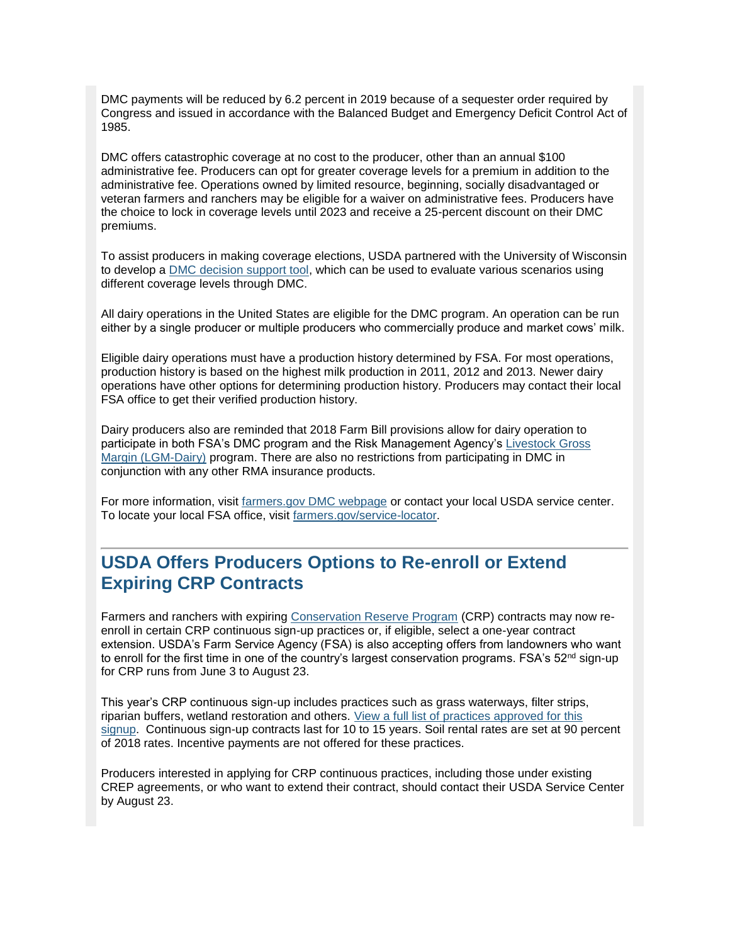DMC payments will be reduced by 6.2 percent in 2019 because of a sequester order required by Congress and issued in accordance with the Balanced Budget and Emergency Deficit Control Act of 1985.

DMC offers catastrophic coverage at no cost to the producer, other than an annual \$100 administrative fee. Producers can opt for greater coverage levels for a premium in addition to the administrative fee. Operations owned by limited resource, beginning, socially disadvantaged or veteran farmers and ranchers may be eligible for a waiver on administrative fees. Producers have the choice to lock in coverage levels until 2023 and receive a 25-percent discount on their DMC premiums.

To assist producers in making coverage elections, USDA partnered with the University of Wisconsin to develop a [DMC decision support tool,](https://gcc01.safelinks.protection.outlook.com/?url=https%3A%2F%2Fwww.fsa.usda.gov%2Fprograms-and-services%2Ffarm-bill%2Ffarm-safety-net%2Fdairy-programs%2Fdmc-decision-tool%2Findex%3Futm_medium%3Demail%26utm_source%3Dgovdelivery&data=01%7C01%7C%7C1d8a7a3f8856436e87fc08d705ffaa7a%7Ced5b36e701ee4ebc867ee03cfa0d4697%7C1&sdata=ayQkLRs6C4Qug8xsAsf3kcvM%2FJlueacE4PDjgmhCVgc%3D&reserved=0) which can be used to evaluate various scenarios using different coverage levels through DMC.

All dairy operations in the United States are eligible for the DMC program. An operation can be run either by a single producer or multiple producers who commercially produce and market cows' milk.

Eligible dairy operations must have a production history determined by FSA. For most operations, production history is based on the highest milk production in 2011, 2012 and 2013. Newer dairy operations have other options for determining production history. Producers may contact their local FSA office to get their verified production history.

Dairy producers also are reminded that 2018 Farm Bill provisions allow for dairy operation to participate in both FSA's DMC program and the Risk Management Agency's [Livestock Gross](https://gcc01.safelinks.protection.outlook.com/?url=https%3A%2F%2Fwww.rma.usda.gov%2Fen%2FFact-Sheets%2FNational-Fact-Sheets%2FLivestock-Gross-Margin-Insurance-Dairy-Cattle%3Futm_medium%3Demail%26utm_source%3Dgovdelivery&data=01%7C01%7C%7C1d8a7a3f8856436e87fc08d705ffaa7a%7Ced5b36e701ee4ebc867ee03cfa0d4697%7C1&sdata=FzHGMX7A%2BhApmSDBu59pmMAV7B2sZ0Gus%2F%2BB12N4YeQ%3D&reserved=0)  [Margin \(LGM-Dairy\)](https://gcc01.safelinks.protection.outlook.com/?url=https%3A%2F%2Fwww.rma.usda.gov%2Fen%2FFact-Sheets%2FNational-Fact-Sheets%2FLivestock-Gross-Margin-Insurance-Dairy-Cattle%3Futm_medium%3Demail%26utm_source%3Dgovdelivery&data=01%7C01%7C%7C1d8a7a3f8856436e87fc08d705ffaa7a%7Ced5b36e701ee4ebc867ee03cfa0d4697%7C1&sdata=FzHGMX7A%2BhApmSDBu59pmMAV7B2sZ0Gus%2F%2BB12N4YeQ%3D&reserved=0) program. There are also no restrictions from participating in DMC in conjunction with any other RMA insurance products.

For more information, visit [farmers.gov DMC webpage](https://gcc01.safelinks.protection.outlook.com/?url=https%3A%2F%2Fwww.fsa.usda.gov%2Fprograms-and-services%2Ffarm-bill%2Ffarm-safety-net%2Fdairy-programs%2Findex%3Futm_medium%3Demail%26utm_source%3Dgovdelivery&data=01%7C01%7C%7C1d8a7a3f8856436e87fc08d705ffaa7a%7Ced5b36e701ee4ebc867ee03cfa0d4697%7C1&sdata=xuhUvJTAe%2BxpkqTyqHpXHjpoKt87j4omXz9dgfX4QgI%3D&reserved=0) or contact your local USDA service center. To locate your local FSA office, visit [farmers.gov/service-locator.](https://gcc01.safelinks.protection.outlook.com/?url=https%3A%2F%2Fwww.farmers.gov%2Fservice-locator%3Futm_medium%3Demail%26utm_source%3Dgovdelivery&data=01%7C01%7C%7C1d8a7a3f8856436e87fc08d705ffaa7a%7Ced5b36e701ee4ebc867ee03cfa0d4697%7C1&sdata=5eZcAoJnd6XO5m%2BkMZDaVCPIR%2B57F4KIYnJDiDEJ9ww%3D&reserved=0)

#### <span id="page-2-0"></span>**USDA Offers Producers Options to Re-enroll or Extend Expiring CRP Contracts**

Farmers and ranchers with expiring [Conservation Reserve Program](https://gcc01.safelinks.protection.outlook.com/?url=https%3A%2F%2Fwww.fsa.usda.gov%2Fprograms-and-services%2Fconservation-programs%2Fconservation-reserve-program%2Fcrp-continuous-enrollment%2Findex%3Futm_medium%3Demail%26utm_source%3Dgovdelivery&data=01%7C01%7C%7C1d8a7a3f8856436e87fc08d705ffaa7a%7Ced5b36e701ee4ebc867ee03cfa0d4697%7C1&sdata=qA2PI31N8sY7hBp%2FJQS%2BNfkLLCr8z16ZzaGmFfPMPy0%3D&reserved=0) (CRP) contracts may now reenroll in certain CRP continuous sign-up practices or, if eligible, select a one-year contract extension. USDA's Farm Service Agency (FSA) is also accepting offers from landowners who want to enroll for the first time in one of the country's largest conservation programs. FSA's  $52<sup>nd</sup>$  sign-up for CRP runs from June 3 to August 23.

This year's CRP continuous sign-up includes practices such as grass waterways, filter strips, riparian buffers, wetland restoration and others. [View a full list of practices approved for this](https://gcc01.safelinks.protection.outlook.com/?url=https%3A%2F%2Fwww.fsa.usda.gov%2Fprograms-and-services%2Fconservation-programs%2Fconservation-reserve-program%2Fcrp-continuous-enrollment%2Findex%3Futm_medium%3Demail%26utm_source%3Dgovdelivery&data=01%7C01%7C%7C1d8a7a3f8856436e87fc08d705ffaa7a%7Ced5b36e701ee4ebc867ee03cfa0d4697%7C1&sdata=qA2PI31N8sY7hBp%2FJQS%2BNfkLLCr8z16ZzaGmFfPMPy0%3D&reserved=0)  [signup.](https://gcc01.safelinks.protection.outlook.com/?url=https%3A%2F%2Fwww.fsa.usda.gov%2Fprograms-and-services%2Fconservation-programs%2Fconservation-reserve-program%2Fcrp-continuous-enrollment%2Findex%3Futm_medium%3Demail%26utm_source%3Dgovdelivery&data=01%7C01%7C%7C1d8a7a3f8856436e87fc08d705ffaa7a%7Ced5b36e701ee4ebc867ee03cfa0d4697%7C1&sdata=qA2PI31N8sY7hBp%2FJQS%2BNfkLLCr8z16ZzaGmFfPMPy0%3D&reserved=0) Continuous sign-up contracts last for 10 to 15 years. Soil rental rates are set at 90 percent of 2018 rates. Incentive payments are not offered for these practices.

Producers interested in applying for CRP continuous practices, including those under existing CREP agreements, or who want to extend their contract, should contact their USDA Service Center by August 23.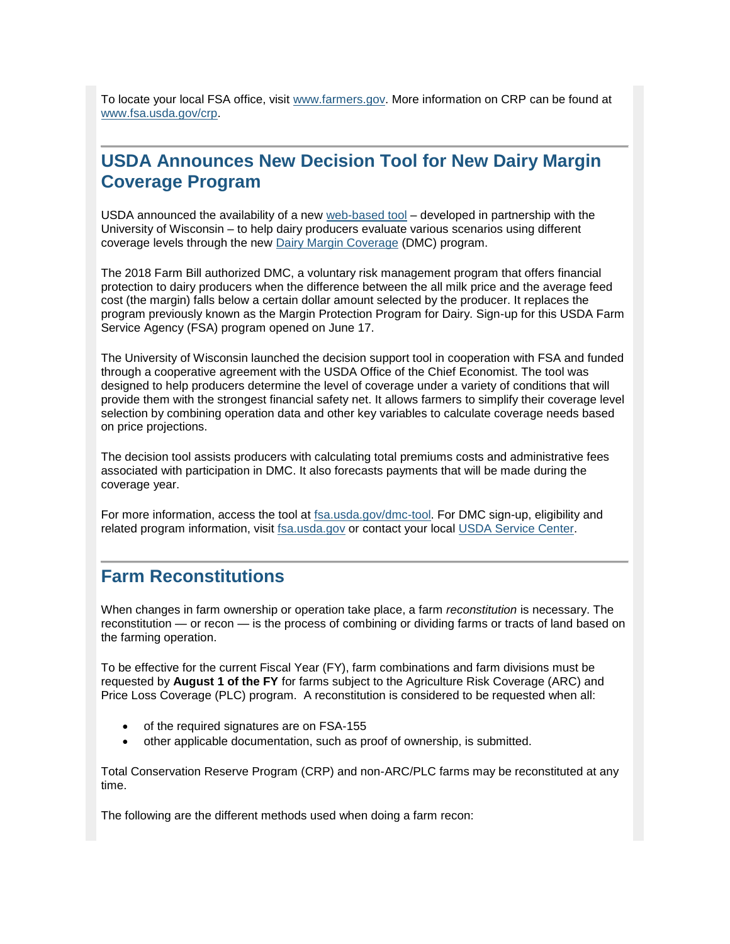To locate your local FSA office, visit [www.farmers.gov.](https://gcc01.safelinks.protection.outlook.com/?url=http%3A%2F%2Fwww.farmers.gov%2F%3Futm_medium%3Demail%26utm_source%3Dgovdelivery&data=01%7C01%7C%7C1d8a7a3f8856436e87fc08d705ffaa7a%7Ced5b36e701ee4ebc867ee03cfa0d4697%7C1&sdata=ggV9nj%2Ftwsjex61BhNd6rqBjjSW9c%2FEYE36AsLUBmso%3D&reserved=0) More information on CRP can be found at [www.fsa.usda.gov/crp.](https://gcc01.safelinks.protection.outlook.com/?url=http%3A%2F%2Fwww.fsa.usda.gov%2Fcrp%3Futm_medium%3Demail%26utm_source%3Dgovdelivery&data=01%7C01%7C%7C1d8a7a3f8856436e87fc08d705ffaa7a%7Ced5b36e701ee4ebc867ee03cfa0d4697%7C1&sdata=gY%2FX%2FpOfaRaGw5%2BB%2Ft48RUiZlYHaOz95fzZOkDA2Br0%3D&reserved=0)

# <span id="page-3-0"></span>**USDA Announces New Decision Tool for New Dairy Margin Coverage Program**

USDA announced the availability of a new [web-based tool](https://gcc01.safelinks.protection.outlook.com/?url=https%3A%2F%2Fwww.fsa.usda.gov%2Fprograms-and-services%2Ffarm-bill%2Ffarm-safety-net%2Fdairy-programs%2Fdmc-decision-tool%2Findex%3Futm_medium%3Demail%26utm_source%3Dgovdelivery&data=01%7C01%7C%7C1d8a7a3f8856436e87fc08d705ffaa7a%7Ced5b36e701ee4ebc867ee03cfa0d4697%7C1&sdata=ayQkLRs6C4Qug8xsAsf3kcvM%2FJlueacE4PDjgmhCVgc%3D&reserved=0) – developed in partnership with the University of Wisconsin – to help dairy producers evaluate various scenarios using different coverage levels through the new [Dairy Margin Coverage](https://gcc01.safelinks.protection.outlook.com/?url=https%3A%2F%2Fwww.fsa.usda.gov%2Fprograms-and-services%2Ffarm-bill%2Ffarm-safety-net%2Fdairy-programs%2Findex%3Futm_medium%3Demail%26utm_source%3Dgovdelivery&data=01%7C01%7C%7C1d8a7a3f8856436e87fc08d705ffaa7a%7Ced5b36e701ee4ebc867ee03cfa0d4697%7C1&sdata=xuhUvJTAe%2BxpkqTyqHpXHjpoKt87j4omXz9dgfX4QgI%3D&reserved=0) (DMC) program.

The 2018 Farm Bill authorized DMC, a voluntary risk management program that offers financial protection to dairy producers when the difference between the all milk price and the average feed cost (the margin) falls below a certain dollar amount selected by the producer. It replaces the program previously known as the Margin Protection Program for Dairy. Sign-up for this USDA Farm Service Agency (FSA) program opened on June 17.

The University of Wisconsin launched the decision support tool in cooperation with FSA and funded through a cooperative agreement with the USDA Office of the Chief Economist. The tool was designed to help producers determine the level of coverage under a variety of conditions that will provide them with the strongest financial safety net. It allows farmers to simplify their coverage level selection by combining operation data and other key variables to calculate coverage needs based on price projections.

The decision tool assists producers with calculating total premiums costs and administrative fees associated with participation in DMC. It also forecasts payments that will be made during the coverage year.

For more information, access the tool at [fsa.usda.gov/dmc-tool.](https://gcc01.safelinks.protection.outlook.com/?url=https%3A%2F%2Fwww.fsa.usda.gov%2Fprograms-and-services%2Ffarm-bill%2Ffarm-safety-net%2Fdairy-programs%2Fdmc-decision-tool%2Findex%3Futm_medium%3Demail%26utm_source%3Dgovdelivery&data=01%7C01%7C%7C1d8a7a3f8856436e87fc08d705ffaa7a%7Ced5b36e701ee4ebc867ee03cfa0d4697%7C1&sdata=ayQkLRs6C4Qug8xsAsf3kcvM%2FJlueacE4PDjgmhCVgc%3D&reserved=0) For DMC sign-up, eligibility and related program information, visit [fsa.usda.gov](https://gcc01.safelinks.protection.outlook.com/?url=http%3A%2F%2Fwww.fsa.usda.gov%2F%3Futm_medium%3Demail%26utm_source%3Dgovdelivery&data=01%7C01%7C%7C1d8a7a3f8856436e87fc08d705ffaa7a%7Ced5b36e701ee4ebc867ee03cfa0d4697%7C1&sdata=JOnBDaDFuXdX8pO3Ne0P4glS%2B74F2BSaQfyTZ2Gy%2BwY%3D&reserved=0) or contact your local [USDA Service Center.](https://gcc01.safelinks.protection.outlook.com/?url=http%3A%2F%2Ffarmers.gov%2Fservice-locator%3Futm_medium%3Demail%26utm_source%3Dgovdelivery&data=01%7C01%7C%7C1d8a7a3f8856436e87fc08d705ffaa7a%7Ced5b36e701ee4ebc867ee03cfa0d4697%7C1&sdata=k7lJ2djqTgIRffGKLt5WaYzaed9Q8PTcchNPXOlZ0ZM%3D&reserved=0)

#### <span id="page-3-1"></span>**Farm Reconstitutions**

When changes in farm ownership or operation take place, a farm *reconstitution* is necessary. The reconstitution — or recon — is the process of combining or dividing farms or tracts of land based on the farming operation.

To be effective for the current Fiscal Year (FY), farm combinations and farm divisions must be requested by **August 1 of the FY** for farms subject to the Agriculture Risk Coverage (ARC) and Price Loss Coverage (PLC) program. A reconstitution is considered to be requested when all:

- of the required signatures are on FSA-155
- other applicable documentation, such as proof of ownership, is submitted.

Total Conservation Reserve Program (CRP) and non-ARC/PLC farms may be reconstituted at any time.

The following are the different methods used when doing a farm recon: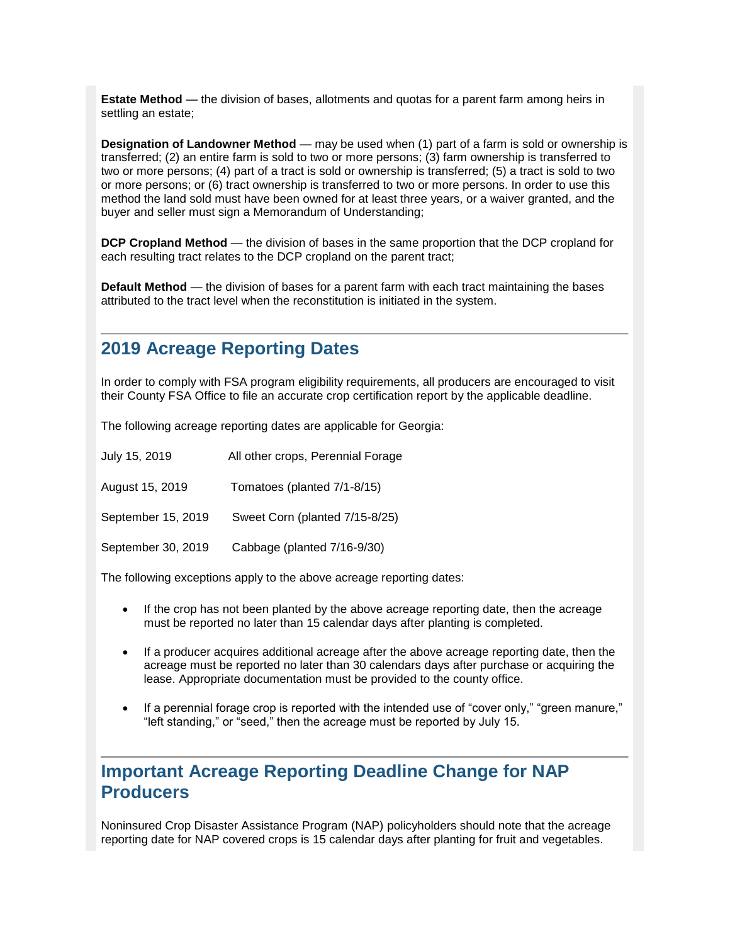**Estate Method** — the division of bases, allotments and quotas for a parent farm among heirs in settling an estate;

**Designation of Landowner Method** — may be used when (1) part of a farm is sold or ownership is transferred; (2) an entire farm is sold to two or more persons; (3) farm ownership is transferred to two or more persons; (4) part of a tract is sold or ownership is transferred; (5) a tract is sold to two or more persons; or (6) tract ownership is transferred to two or more persons. In order to use this method the land sold must have been owned for at least three years, or a waiver granted, and the buyer and seller must sign a Memorandum of Understanding;

**DCP Cropland Method** — the division of bases in the same proportion that the DCP cropland for each resulting tract relates to the DCP cropland on the parent tract;

**Default Method** — the division of bases for a parent farm with each tract maintaining the bases attributed to the tract level when the reconstitution is initiated in the system.

#### <span id="page-4-0"></span>**2019 Acreage Reporting Dates**

In order to comply with FSA program eligibility requirements, all producers are encouraged to visit their County FSA Office to file an accurate crop certification report by the applicable deadline.

The following acreage reporting dates are applicable for Georgia:

| July 15, 2019      | All other crops, Perennial Forage |
|--------------------|-----------------------------------|
| August 15, 2019    | Tomatoes (planted 7/1-8/15)       |
| September 15, 2019 | Sweet Corn (planted 7/15-8/25)    |
| September 30, 2019 | Cabbage (planted 7/16-9/30)       |

The following exceptions apply to the above acreage reporting dates:

- If the crop has not been planted by the above acreage reporting date, then the acreage must be reported no later than 15 calendar days after planting is completed.
- If a producer acquires additional acreage after the above acreage reporting date, then the acreage must be reported no later than 30 calendars days after purchase or acquiring the lease. Appropriate documentation must be provided to the county office.
- If a perennial forage crop is reported with the intended use of "cover only," "green manure," "left standing," or "seed," then the acreage must be reported by July 15.

#### <span id="page-4-1"></span>**Important Acreage Reporting Deadline Change for NAP Producers**

Noninsured Crop Disaster Assistance Program (NAP) policyholders should note that the acreage reporting date for NAP covered crops is 15 calendar days after planting for fruit and vegetables.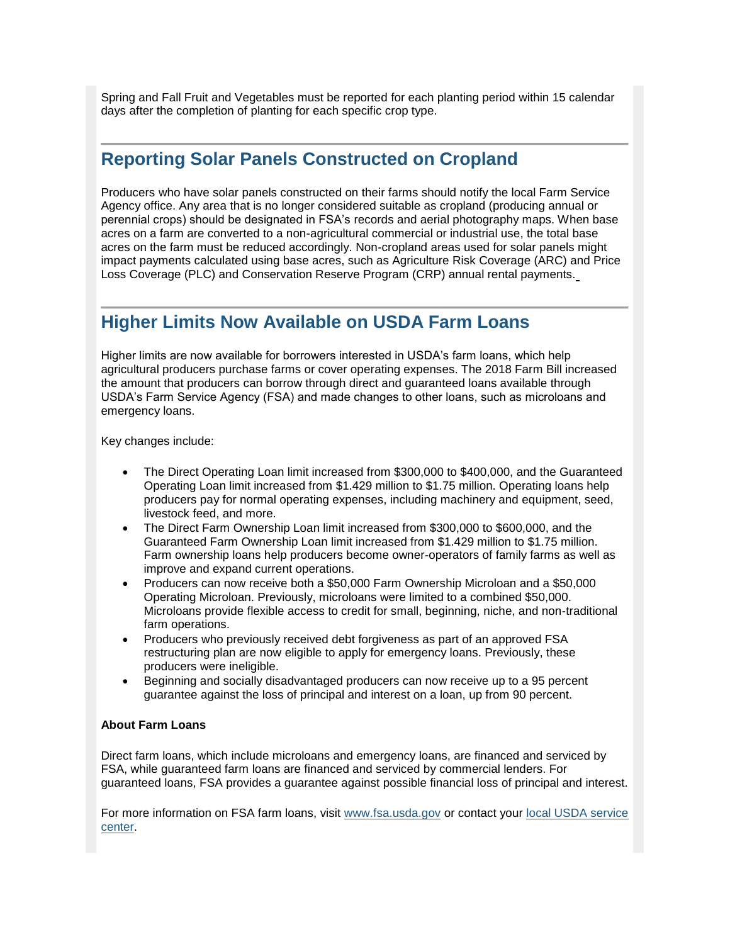Spring and Fall Fruit and Vegetables must be reported for each planting period within 15 calendar days after the completion of planting for each specific crop type.

#### <span id="page-5-0"></span>**Reporting Solar Panels Constructed on Cropland**

Producers who have solar panels constructed on their farms should notify the local Farm Service Agency office. Any area that is no longer considered suitable as cropland (producing annual or perennial crops) should be designated in FSA's records and aerial photography maps. When base acres on a farm are converted to a non-agricultural commercial or industrial use, the total base acres on the farm must be reduced accordingly. Non-cropland areas used for solar panels might impact payments calculated using base acres, such as Agriculture Risk Coverage (ARC) and Price Loss Coverage (PLC) and Conservation Reserve Program (CRP) annual rental payments.

#### <span id="page-5-1"></span>**Higher Limits Now Available on USDA Farm Loans**

Higher limits are now available for borrowers interested in USDA's farm loans, which help agricultural producers purchase farms or cover operating expenses. The 2018 Farm Bill increased the amount that producers can borrow through direct and guaranteed loans available through USDA's Farm Service Agency (FSA) and made changes to other loans, such as microloans and emergency loans.

Key changes include:

- The Direct Operating Loan limit increased from \$300,000 to \$400,000, and the Guaranteed Operating Loan limit increased from \$1.429 million to \$1.75 million. Operating loans help producers pay for normal operating expenses, including machinery and equipment, seed, livestock feed, and more.
- The Direct Farm Ownership Loan limit increased from \$300,000 to \$600,000, and the Guaranteed Farm Ownership Loan limit increased from \$1.429 million to \$1.75 million. Farm ownership loans help producers become owner-operators of family farms as well as improve and expand current operations.
- Producers can now receive both a \$50,000 Farm Ownership Microloan and a \$50,000 Operating Microloan. Previously, microloans were limited to a combined \$50,000. Microloans provide flexible access to credit for small, beginning, niche, and non-traditional farm operations.
- Producers who previously received debt forgiveness as part of an approved FSA restructuring plan are now eligible to apply for emergency loans. Previously, these producers were ineligible.
- Beginning and socially disadvantaged producers can now receive up to a 95 percent guarantee against the loss of principal and interest on a loan, up from 90 percent.

#### **About Farm Loans**

Direct farm loans, which include microloans and emergency loans, are financed and serviced by FSA, while guaranteed farm loans are financed and serviced by commercial lenders. For guaranteed loans, FSA provides a guarantee against possible financial loss of principal and interest.

For more information on FSA farm loans, visit [www.fsa.usda.gov](https://gcc01.safelinks.protection.outlook.com/?url=http%3A%2F%2Fwww.fsa.usda.gov%2F%3Futm_medium%3Demail%26utm_source%3Dgovdelivery&data=01%7C01%7C%7C1d8a7a3f8856436e87fc08d705ffaa7a%7Ced5b36e701ee4ebc867ee03cfa0d4697%7C1&sdata=JOnBDaDFuXdX8pO3Ne0P4glS%2B74F2BSaQfyTZ2Gy%2BwY%3D&reserved=0) or contact your [local USDA service](https://gcc01.safelinks.protection.outlook.com/?url=https%3A%2F%2Fwww.farmers.gov%2Fservice-locator%3Futm_medium%3Demail%26utm_source%3Dgovdelivery&data=01%7C01%7C%7C1d8a7a3f8856436e87fc08d705ffaa7a%7Ced5b36e701ee4ebc867ee03cfa0d4697%7C1&sdata=5eZcAoJnd6XO5m%2BkMZDaVCPIR%2B57F4KIYnJDiDEJ9ww%3D&reserved=0)  [center.](https://gcc01.safelinks.protection.outlook.com/?url=https%3A%2F%2Fwww.farmers.gov%2Fservice-locator%3Futm_medium%3Demail%26utm_source%3Dgovdelivery&data=01%7C01%7C%7C1d8a7a3f8856436e87fc08d705ffaa7a%7Ced5b36e701ee4ebc867ee03cfa0d4697%7C1&sdata=5eZcAoJnd6XO5m%2BkMZDaVCPIR%2B57F4KIYnJDiDEJ9ww%3D&reserved=0)